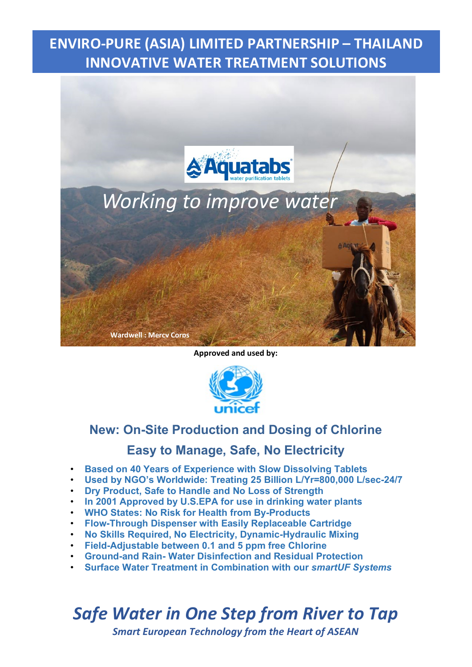



**Approved and used by:**



### **New: On-Site Production and Dosing of Chlorine**

### **Easy to Manage, Safe, No Electricity**

- **Based on 40 Years of Experience with Slow Dissolving Tablets**
- **Used by NGO's Worldwide: Treating 25 Billion L/Yr=800,000 L/sec-24/7**
- **Dry Product, Safe to Handle and No Loss of Strength**
- **In 2001 Approved by U.S.EPA for use in drinking water plants**
- **WHO States: No Risk for Health from By-Products**
- **Flow-Through Dispenser with Easily Replaceable Cartridge**
- **No Skills Required, No Electricity, Dynamic-Hydraulic Mixing**
- **Field-Adjustable between 0.1 and 5 ppm free Chlorine**
- **Ground-and Rain- Water Disinfection and Residual Protection**
- **Surface Water Treatment in Combination with our** *smartUF Systems*

## *Safe Water in One Step from River to Tap*

*Smart European Technology from the Heart of ASEAN*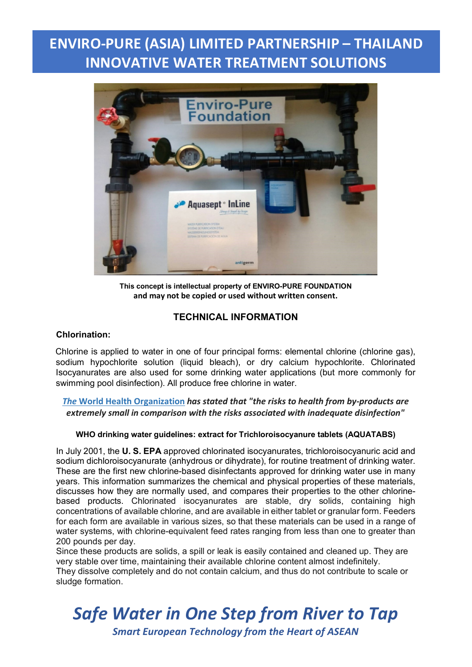

**This concept is intellectual property of ENVIRO-PURE FOUNDATION and may not be copied or used without written consent.**

#### **TECHNICAL INFORMATION**

#### **Chlorination:**

Chlorine is applied to water in one of four principal forms: elemental chlorine (chlorine gas), sodium hypochlorite solution (liquid bleach), or dry calcium hypochlorite. Chlorinated Isocyanurates are also used for some drinking water applications (but more commonly for swimming pool disinfection). All produce free chlorine in water.

#### *The* **[World Health Organization](https://en.wikipedia.org/wiki/World_Health_Organization)** *has stated that "the risks to health from by-products are extremely small in comparison with the risks associated with inadequate disinfection"*

#### **WHO drinking water guidelines: extract for Trichloroisocyanure tablets (AQUATABS)**

In July 2001, the **U. S. EPA** approved chlorinated isocyanurates, trichloroisocyanuric acid and sodium dichloroisocyanurate (anhydrous or dihydrate), for routine treatment of drinking water. These are the first new chlorine-based disinfectants approved for drinking water use in many years. This information summarizes the chemical and physical properties of these materials, discusses how they are normally used, and compares their properties to the other chlorinebased products. Chlorinated isocyanurates are stable, dry solids, containing high concentrations of available chlorine, and are available in either tablet or granular form. Feeders for each form are available in various sizes, so that these materials can be used in a range of water systems, with chlorine-equivalent feed rates ranging from less than one to greater than 200 pounds per day.

Since these products are solids, a spill or leak is easily contained and cleaned up. They are very stable over time, maintaining their available chlorine content almost indefinitely.

They dissolve completely and do not contain calcium, and thus do not contribute to scale or sludge formation.

# *Safe Water in One Step from River to Tap*

*Smart European Technology from the Heart of ASEAN*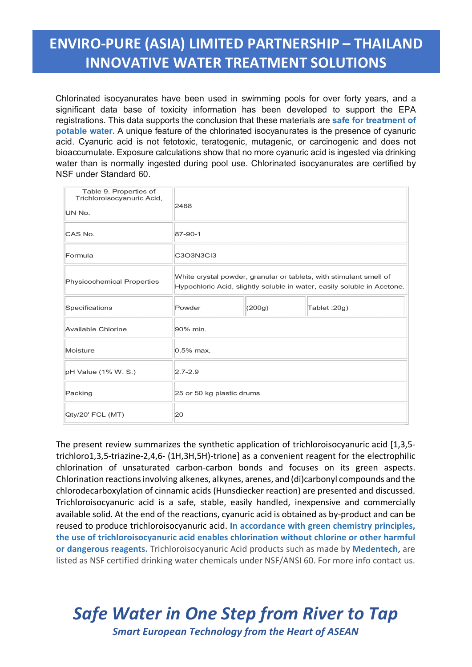Chlorinated isocyanurates have been used in swimming pools for over forty years, and a significant data base of toxicity information has been developed to support the EPA registrations. This data supports the conclusion that these materials are **safe for treatment of potable water.** A unique feature of the chlorinated isocyanurates is the presence of cyanuric acid. Cyanuric acid is not fetotoxic, teratogenic, mutagenic, or carcinogenic and does not bioaccumulate. Exposure calculations show that no more cyanuric acid is ingested via drinking water than is normally ingested during pool use. Chlorinated isocyanurates are certified by NSF under Standard 60.

| Table 9. Properties of<br>Trichloroisocyanuric Acid,<br>UN No. | 2468                                                                                                                                          |        |               |
|----------------------------------------------------------------|-----------------------------------------------------------------------------------------------------------------------------------------------|--------|---------------|
| CAS No.                                                        | $87 - 90 - 1$                                                                                                                                 |        |               |
| Formula                                                        | C3O3N3Cl3                                                                                                                                     |        |               |
| Physicochemical Properties                                     | White crystal powder, granular or tablets, with stimulant smell of<br>Hypochloric Acid, slightly soluble in water, easily soluble in Acetone. |        |               |
| Specifications                                                 | Powder                                                                                                                                        | (200g) | Tablet : 20g) |
| Available Chlorine                                             | 90% min.                                                                                                                                      |        |               |
| Moisture                                                       | $0.5%$ max.                                                                                                                                   |        |               |
| pH Value (1% W. S.)                                            | $2.7 - 2.9$                                                                                                                                   |        |               |
| Packing                                                        | 25 or 50 kg plastic drums                                                                                                                     |        |               |
| Qty/20' FCL (MT)                                               | 20                                                                                                                                            |        |               |

The present review summarizes the synthetic application of trichloroisocyanuric acid [1,3,5 trichloro1,3,5-triazine-2,4,6- (1H,3H,5H)-trione] as a convenient reagent for the electrophilic chlorination of unsaturated carbon-carbon bonds and focuses on its green aspects. Chlorination reactions involving alkenes, alkynes, arenes, and (di)carbonyl compounds and the chlorodecarboxylation of cinnamic acids (Hunsdiecker reaction) are presented and discussed. Trichloroisocyanuric acid is a safe, stable, easily handled, inexpensive and commercially available solid. At the end of the reactions, cyanuric acid is obtained as by-product and can be reused to produce trichloroisocyanuric acid. **In accordance with green chemistry principles, the use of trichloroisocyanuric acid enables chlorination without chlorine or other harmful or dangerous reagents.** Trichloroisocyanuric Acid products such as made by **Medentech**, are listed as NSF certified drinking water chemicals under NSF/ANSI 60. For more info contact us.

# *Safe Water in One Step from River to Tap*

*Smart European Technology from the Heart of ASEAN*